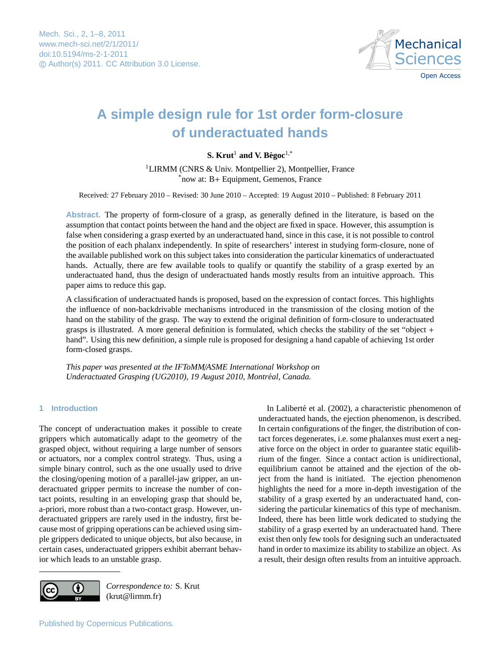

# <span id="page-0-0"></span>**A simple design rule for 1st order form-closure of underactuated hands**

# $\mathbf{S.}$  Krut<sup>1</sup> and V. Bégoc<sup>1,\*</sup>

<sup>1</sup>LIRMM (CNRS & Univ. Montpellier 2), Montpellier, France \*now at: B+ Equipment, Gemenos, France

Received: 27 February 2010 – Revised: 30 June 2010 – Accepted: 19 August 2010 – Published: 8 February 2011

**Abstract.** The property of form-closure of a grasp, as generally defined in the literature, is based on the assumption that contact points between the hand and the object are fixed in space. However, this assumption is false when considering a grasp exerted by an underactuated hand, since in this case, it is not possible to control the position of each phalanx independently. In spite of researchers' interest in studying form-closure, none of the available published work on this subject takes into consideration the particular kinematics of underactuated hands. Actually, there are few available tools to qualify or quantify the stability of a grasp exerted by an underactuated hand, thus the design of underactuated hands mostly results from an intuitive approach. This paper aims to reduce this gap.

A classification of underactuated hands is proposed, based on the expression of contact forces. This highlights the influence of non-backdrivable mechanisms introduced in the transmission of the closing motion of the hand on the stability of the grasp. The way to extend the original definition of form-closure to underactuated grasps is illustrated. A more general definition is formulated, which checks the stability of the set "object + hand". Using this new definition, a simple rule is proposed for designing a hand capable of achieving 1st order form-closed grasps.

*This paper was presented at the IFToMM*/*ASME International Workshop on Underactuated Grasping (UG2010), 19 August 2010, Montréal, Canada.* 

# **1 Introduction**

The concept of underactuation makes it possible to create grippers which automatically adapt to the geometry of the grasped object, without requiring a large number of sensors or actuators, nor a complex control strategy. Thus, using a simple binary control, such as the one usually used to drive the closing/opening motion of a parallel-jaw gripper, an underactuated gripper permits to increase the number of contact points, resulting in an enveloping grasp that should be, a-priori, more robust than a two-contact grasp. However, underactuated grippers are rarely used in the industry, first because most of gripping operations can be achieved using simple grippers dedicated to unique objects, but also because, in certain cases, underactuated grippers exhibit aberrant behavior which leads to an unstable grasp.





*Correspondence to:* S. Krut (krut@lirmm.fr)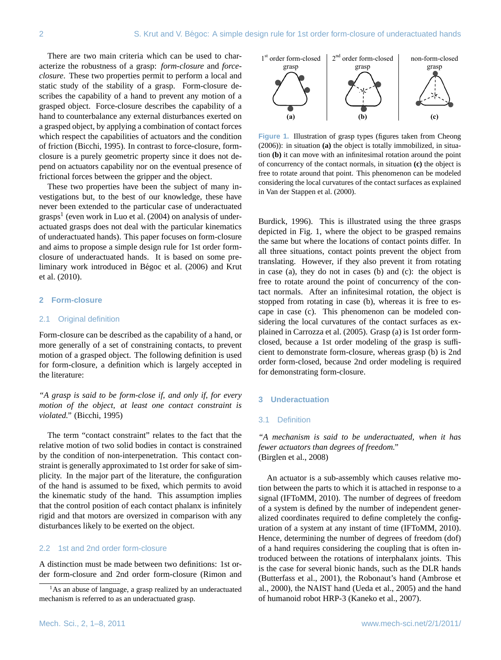There are two main criteria which can be used to characterize the robustness of a grasp: *form-closure* and *forceclosure*. These two properties permit to perform a local and static study of the stability of a grasp. Form-closure describes the capability of a hand to prevent any motion of a grasped object. Force-closure describes the capability of a hand to counterbalance any external disturbances exerted on a grasped object, by applying a combination of contact forces a grasped object, by applying a combination of contact forces<br>which respect the capabilities of actuators and the condition of friction (Bicchi, 1995). In contrast to force-closure, formclosure is a purely geometric property since it does not depend on actuators capability nor on the eventual presence of frictional forces between the gripper and the object.

These two properties have been the subject of many investigations but, to the best of our knowledge, these have never been extended to the particular case of underactuated grasps<sup>[1](#page-1-0)</sup> (even work in Luo et al. (2004) on analysis of underactuated grasps does not deal with the particular kinematics of underactuated hands). This paper focuses on form-closure 8 and aims to propose a simple design rule for 1st order formclosure of underactuated hands. It is based on some preliminary work introduced in Bégoc et al. (2006) and Krut et al. (2010). 6 that point. This phenomenon can be modeled considering the local curvatures of the contact

#### **2 Form-closure**

#### 2.1 Original definition

Form-closure can be described as the capability of a hand, or more generally of a set of constraining contacts, to prevent motion of a grasped object. The following definition is used for form-closure, a definition which is largely accepted in the literature:

*"A grasp is said to be form-close if, and only if, for every motion of the object, at least one contact constraint is violated."* (Bicchi, 1995)

The term "contact constraint" relates to the fact that the relative motion of two solid bodies in contact is constrained by the condition of non-interpenetration. This contact constraint is generally approximated to 1st order for sake of simplicity. In the major part of the literature, the configuration of the hand is assumed to be fixed, which permits to avoid the kinematic study of the hand. This assumption implies that the control position of each contact phalanx is infinitely rigid and that motors are oversized in comparison with any disturbances likely to be exerted on the object.

#### 2.2 1st and 2nd order form-closure

A distinction must be made between two definitions: 1st order form-closure and 2nd order form-closure (Rimon and



 $\frac{1}{2}$  is the object of grasph  $\frac{1}{2}$  of  $\frac{1}{2}$  in stration  $\frac{1}{2}$  is  $\frac{1}{2}$  in  $\frac{1}{2}$  in situation around the point  $\frac{1}{2}$  is since it does not de- $\frac{1}{2}$  is eventual presence of the concurrency of the contact normals, in situation (c) the object is free to rotate around that point. This phenomenon can be modeled  $\frac{1}{2}$  considering the local curvatures of the contact surfaces as explained are subject of many in-**Figure 1.** Illustration of grasp types (figures taken from Cheong (2006)): in situation **(a)** the object is totally immobilized, in situaof concurrency of the contact normals, in situation **(c)** the object is in Van der Stappen et al. (2000).

Burdick, 1996). This is illustrated using the three grasps depicted in Fig. 1, where the object to be grasped remains the same but where the locations of contact points differ. In all three situations, contact points prevent the object from translating. However, if they also prevent it from rotating in case (a), they do not in cases (b) and (c): the object is free to rotate around the point of concurrency of the contact normals. After an infinitesimal rotation, the object is stopped from rotating in case (b), whereas it is free to escape in case (c). This phenomenon can be modeled considering the local curvatures of the contact surfaces as explained in Carrozza et al. (2005). Grasp (a) is 1st order formclosed, because a 1st order modeling of the grasp is sufficient to demonstrate form-closure, whereas grasp (b) is 2nd order form-closed, because 2nd order modeling is required for demonstrating form-closure.

#### **3 Underactuation**

#### 3.1 Definition

*"A mechanism is said to be underactuated, when it has fewer actuators than degrees of freedom."* (Birglen et al., 2008)

An actuator is a sub-assembly which causes relative motion between the parts to which it is attached in response to a signal (IFToMM, 2010). The number of degrees of freedom of a system is defined by the number of independent generalized coordinates required to define completely the configuration of a system at any instant of time (IFToMM, 2010). Hence, determining the number of degrees of freedom (dof) of a hand requires considering the coupling that is often introduced between the rotations of interphalanx joints. This is the case for several bionic hands, such as the DLR hands (Butterfass et al., 2001), the Robonaut's hand (Ambrose et al., 2000), the NAIST hand (Ueda et al., 2005) and the hand of humanoid robot HRP-3 (Kaneko et al., 2007).

<span id="page-1-0"></span><sup>&</sup>lt;sup>1</sup>As an abuse of language, a grasp realized by an underactuated mechanism is referred to as an underactuated grasp.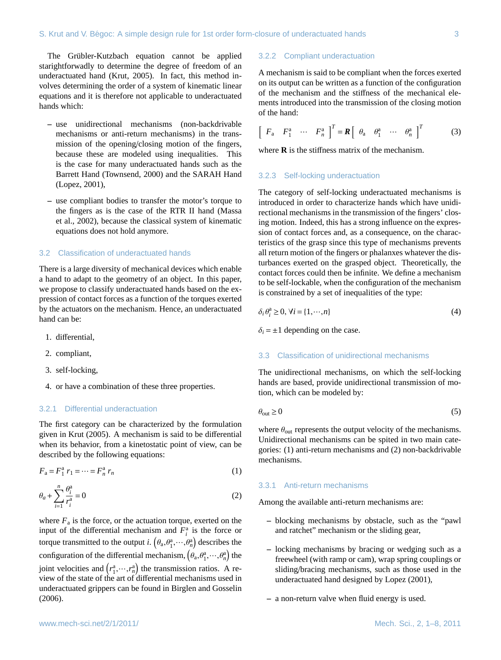The Grübler-Kutzbach equation cannot be applied starightforwadly to determine the degree of freedom of an underactuated hand (Krut, 2005). In fact, this method involves determining the order of a system of kinematic linear equations and it is therefore not applicable to underactuated hands which:

- **–** use unidirectional mechanisms (non-backdrivable mechanisms or anti-return mechanisms) in the transmission of the opening/closing motion of the fingers, because these are modeled using inequalities. This is the case for many underactuated hands such as the Barrett Hand (Townsend, 2000) and the SARAH Hand (Lopez, 2001),
- **–** use compliant bodies to transfer the motor's torque to the fingers as is the case of the RTR II hand (Massa et al., 2002), because the classical system of kinematic equations does not hold anymore.

#### 3.2 Classification of underactuated hands

There is a large diversity of mechanical devices which enable a hand to adapt to the geometry of an object. In this paper, we propose to classify underactuated hands based on the expression of contact forces as a function of the torques exerted by the actuators on the mechanism. Hence, an underactuated hand can be:

- 1. differential,
- 2. compliant,
- 3. self-locking,
- 4. or have a combination of these three properties.

#### 3.2.1 Differential underactuation

The first category can be characterized by the formulation given in Krut (2005). A mechanism is said to be differential when its behavior, from a kinetostatic point of view, can be described by the following equations:

$$
F_{\rm a} = F_{\rm 1}^{\rm a} \ r_{\rm 1} = \dots = F_{\rm n}^{\rm a} \ r_{\rm n} \tag{1}
$$

$$
\theta_a + \sum_{i=1}^n \frac{\theta_i^a}{r_i^a} = 0
$$
\n<sup>(2)</sup>

where  $F_a$  is the force, or the actuation torque, exerted on the input of the differential mechanism and  $F_i^a$  is the force or torque transmitted to the output *i*.  $(\theta_a, \theta_1^a, \dots, \theta_n^a)$  describes the configuration of the differential mechanism,  $(\theta_a, \theta_1^a, \dots, \theta_n^a)$  the joint velocities and  $(r_1^a, \dots, r_n^a)$  the transmission ratios. A re-<br>view of the state of the art of differential mechanisms used in view of the state of the art of differential mechanisms used in underactuated grippers can be found in Birglen and Gosselin (2006).

#### 3.2.2 Compliant underactuation

A mechanism is said to be compliant when the forces exerted on its output can be written as a function of the configuration of the mechanism and the stiffness of the mechanical elements introduced into the transmission of the closing motion of the hand:

$$
\left[\begin{array}{cccc} F_a & F_1^a & \cdots & F_n^a \end{array}\right]^T = \mathbf{R} \left[\begin{array}{cccc} \theta_a & \theta_1^a & \cdots & \theta_n^a \end{array}\right]^T \tag{3}
$$

where  $\bf{R}$  is the stiffness matrix of the mechanism.

#### 3.2.3 Self-locking underactuation

The category of self-locking underactuated mechanisms is introduced in order to characterize hands which have unidirectional mechanisms in the transmission of the fingers' closing motion. Indeed, this has a strong influence on the expression of contact forces and, as a consequence, on the characteristics of the grasp since this type of mechanisms prevents all return motion of the fingers or phalanxes whatever the disturbances exerted on the grasped object. Theoretically, the contact forces could then be infinite. We define a mechanism to be self-lockable, when the configuration of the mechanism is constrained by a set of inequalities of the type:

$$
\delta_i \theta_i^a \ge 0, \forall i = \{1, \cdots, n\}
$$
\n<sup>(4)</sup>

 $\delta_i = \pm 1$  depending on the case.

# 3.3 Classification of unidirectional mechanisms

The unidirectional mechanisms, on which the self-locking hands are based, provide unidirectional transmission of motion, which can be modeled by:

$$
\theta_{\text{out}} \ge 0 \tag{5}
$$

where  $\theta_{\text{out}}$  represents the output velocity of the mechanisms. Unidirectional mechanisms can be spited in two main categories: (1) anti-return mechanisms and (2) non-backdrivable mechanisms.

#### 3.3.1 Anti-return mechanisms

Among the available anti-return mechanisms are:

- **–** blocking mechanisms by obstacle, such as the "pawl and ratchet" mechanism or the sliding gear,
- **–** locking mechanisms by bracing or wedging such as a freewheel (with ramp or cam), wrap spring couplings or sliding/bracing mechanisms, such as those used in the underactuated hand designed by Lopez (2001),
- **–** a non-return valve when fluid energy is used.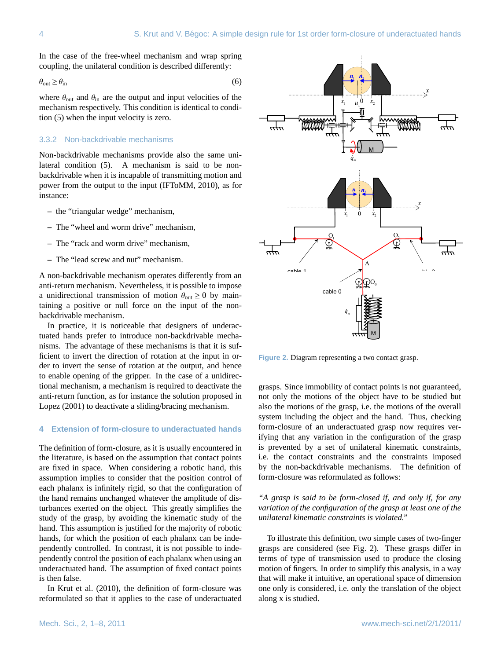In the case of the free-wheel mechanism and wrap spring coupling, the unilateral condition is described differently:

$$
\theta_{\text{out}} \ge \theta_{\text{in}} \tag{6}
$$

where  $\theta_{\text{out}}$  and  $\theta_{\text{in}}$  are the output and input velocities of the mechanism respectively. This condition is identical to condition (5) when the input velocity is zero.

## 3.3.2 Non-backdrivable mechanisms

Non-backdrivable mechanisms provide also the same unilateral condition (5). A mechanism is said to be nonpower from the output to the input (IFToMM, 2010), as for instance:

- **–** the "triangular wedge" mechanism,
- **–** The "wheel and worm drive" mechanism,
- **–** The "rack and worm drive" mechanism,
- **–** The "lead screw and nut" mechanism.

A non-backdrivable mechanism operates differently from an anti-return mechanism. Nevertheless, it is possible to impose a unidirectional transmission of motion  $\theta_{\text{out}} \ge 0$  by maintaining a positive or null force on the input of the nonbackdrivable mechanism.

In practice, it is noticeable that designers of underactuated hands prefer to introduce non-backdrivable mechanisms. The advantage of these mechanisms is that it is sufficient to invert the direction of rotation at the input in order to invert the sense of rotation at the output, and hence to enable opening of the gripper. In the case of a unidirec-2 tional mechanism, a mechanism is required to deactivate the anti-return function, as for instance the solution proposed in Lopez (2001) to deactivate a sliding/bracing mechanism.

# **4 Extension of form-closure to underactuated hands** 2

The definition of form-closure, as it is usually encountered in the literature, is based on the assumption that contact points are fixed in space. When considering a robotic hand, this assumption implies to consider that the position control of each phalanx is infinitely rigid, so that the configuration of the hand remains unchanged whatever the amplitude of disturbances exerted on the object. This greatly simplifies the study of the grasp, by avoiding the kinematic study of the hand. This assumption is justified for the majority of robotic hands, for which the position of each phalanx can be independently controlled. In contrast, it is not possible to independently control the position of each phalanx when using an underactuated hand. The assumption of fixed contact points is then false.

In Krut et al. (2010), the definition of form-closure was reformulated so that it applies to the case of underactuated



statuted and securities proposed in the differential proposed in the order form-closed in the securities in the motions of the overall stilling/bracing mechanism. also the motions of the grasp, i.e. the motions of the over n the assumption that contact points i.e. the contact constraints and the constraints imposed grasps. Since immobility of contact points is not guaranteed, not only the motions of the object have to be studied but system including the object and the hand. Thus, checking form-closure of an underactuated grasp now requires verifying that any variation in the configuration of the grasp is prevented by a set of unilateral kinematic constraints, by the non-backdrivable mechanisms. The definition of form-closure was reformulated as follows:

# *"A grasp is said to be form-closed if, and only if, for any variation of the configuration of the grasp at least one of the unilateral kinematic constraints is violated."*

To illustrate this definition, two simple cases of two-finger grasps are considered (see Fig. 2). These grasps differ in terms of type of transmission used to produce the closing motion of fingers. In order to simplify this analysis, in a way that will make it intuitive, an operational space of dimension one only is considered, i.e. only the translation of the object along x is studied.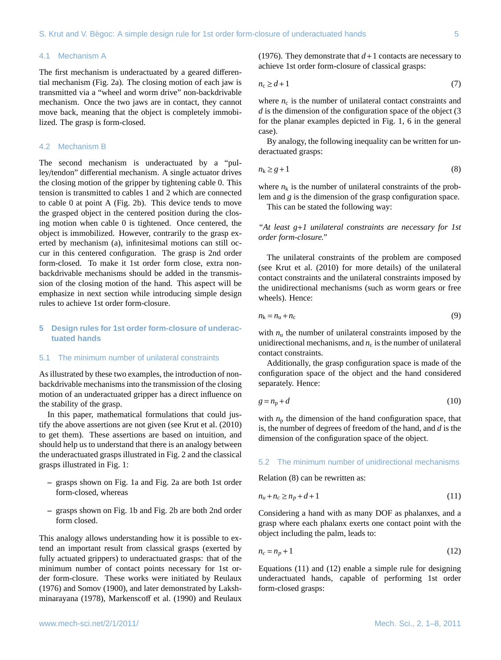#### 4.1 Mechanism A

The first mechanism is underactuated by a geared differential mechanism (Fig. 2a). The closing motion of each jaw is transmitted via a "wheel and worm drive" non-backdrivable mechanism. Once the two jaws are in contact, they cannot move back, meaning that the object is completely immobilized. The grasp is form-closed.

## 4.2 Mechanism B

The second mechanism is underactuated by a "pulley/tendon" differential mechanism. A single actuator drives the closing motion of the gripper by tightening cable 0. This tension is transmitted to cables 1 and 2 which are connected to cable 0 at point A (Fig. 2b). This device tends to move the grasped object in the centered position during the closing motion when cable 0 is tightened. Once centered, the object is immobilized. However, contrarily to the grasp exerted by mechanism (a), infinitesimal motions can still occur in this centered configuration. The grasp is 2nd order form-closed. To make it 1st order form close, extra nonbackdrivable mechanisms should be added in the transmission of the closing motion of the hand. This aspect will be emphasize in next section while introducing simple design rules to achieve 1st order form-closure.

# **5 Design rules for 1st order form-closure of underactuated hands**

#### 5.1 The minimum number of unilateral constraints

As illustrated by these two examples, the introduction of nonbackdrivable mechanisms into the transmission of the closing motion of an underactuated gripper has a direct influence on the stability of the grasp.

In this paper, mathematical formulations that could justify the above assertions are not given (see Krut et al. (2010) to get them). These assertions are based on intuition, and should help us to understand that there is an analogy between the underactuated grasps illustrated in Fig. 2 and the classical grasps illustrated in Fig. 1:

- **–** grasps shown on Fig. 1a and Fig. 2a are both 1st order form-closed, whereas
- **–** grasps shown on Fig. 1b and Fig. 2b are both 2nd order form closed.

This analogy allows understanding how it is possible to extend an important result from classical grasps (exerted by fully actuated grippers) to underactuated grasps: that of the minimum number of contact points necessary for 1st order form-closure. These works were initiated by Reulaux (1976) and Somov (1900), and later demonstrated by Lakshminarayana (1978), Markenscoff et al. (1990) and Reulaux (1976). They demonstrate that  $d+1$  contacts are necessary to achieve 1st order form-closure of classical grasps:

$$
n_c \ge d + 1\tag{7}
$$

where  $n_c$  is the number of unilateral contact constraints and *d* is the dimension of the configuration space of the object (3 for the planar examples depicted in Fig. 1, 6 in the general case).

By analogy, the following inequality can be written for underactuated grasps:

$$
n_k \ge g + 1 \tag{8}
$$

where  $n_k$  is the number of unilateral constraints of the problem and *g* is the dimension of the grasp configuration space.

This can be stated the following way:

*"At least g*+*1 unilateral constraints are necessary for 1st order form-closure."*

The unilateral constraints of the problem are composed (see Krut et al. (2010) for more details) of the unilateral contact constraints and the unilateral constraints imposed by the unidirectional mechanisms (such as worm gears or free wheels). Hence:

$$
n_{k} = n_{u} + n_{c} \tag{9}
$$

with  $n_{\rm u}$  the number of unilateral constraints imposed by the unidirectional mechanisms, and  $n_c$  is the number of unilateral contact constraints.

Additionally, the grasp configuration space is made of the configuration space of the object and the hand considered separately. Hence:

$$
g = n_p + d \tag{10}
$$

with  $n_p$  the dimension of the hand configuration space, that is, the number of degrees of freedom of the hand, and *d* is the dimension of the configuration space of the object.

#### 5.2 The minimum number of unidirectional mechanisms

Relation (8) can be rewritten as:

$$
n_u + n_c \ge n_p + d + 1\tag{11}
$$

Considering a hand with as many DOF as phalanxes, and a grasp where each phalanx exerts one contact point with the object including the palm, leads to:

$$
n_c = n_p + 1 \tag{12}
$$

Equations (11) and (12) enable a simple rule for designing underactuated hands, capable of performing 1st order form-closed grasps: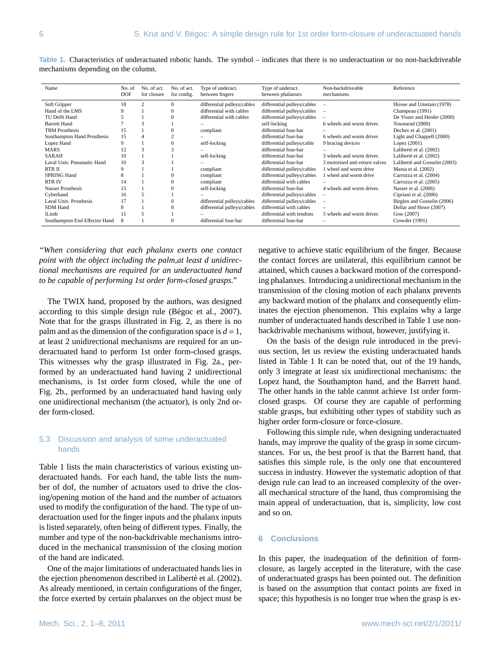| Name                          | No. of     | No. of act. | No. of act. | Type of underact.           | Type of underact.           | Non-backdriveable              | Reference                     |
|-------------------------------|------------|-------------|-------------|-----------------------------|-----------------------------|--------------------------------|-------------------------------|
|                               | <b>DOF</b> | for closure | for config. | between fingers             | between phalanxes           | mechanisms                     |                               |
|                               |            |             |             |                             |                             |                                |                               |
| Soft Gripper                  | 18         | 2           | $\Omega$    | differential pulleys/cables | differential pulleys/cables |                                | Hirose and Umetani (1978)     |
| Hand of the LMS               | 9          |             |             | differential with cables    | differential pulleys/cables | $\overline{\phantom{a}}$       | Champeau (1991)               |
| TU Delft Hand                 |            |             |             | differential with cables    | differential pulleys/cables |                                | De Visser and Herder (2000)   |
| <b>Barrett Hand</b>           |            | 3           |             |                             | self-locking                | 6 wheels and worm drives       | Townsend (2000)               |
| <b>TBM</b> Prosthesis         | 15         |             |             | compliant                   | differential four-bar       |                                | Dechev et al. (2001)          |
| Southampton Hand Prosthesis   | 15         |             |             |                             | differential four-bar       | 6 wheels and worm drives       | Light and Chappell (2000)     |
| Lopez Hand                    | 9          |             |             | self-locking                | differential pulleys/cable  | 9 bracing devices              | Lopez $(2001)$                |
| <b>MARS</b>                   | 12         | 3           |             |                             | differential four-bar       |                                | Laliberté et al. (2002)       |
| <b>SARAH</b>                  | 10         |             |             | self-locking                | differential four-bar       | 3 wheels and worm drives       | Laliberté et al. (2002)       |
| Laval Univ. Pneumatic Hand    | 10         | 3           |             |                             | differential four-bar       | 3 motorised anti-return valves | Laliberté and Gosselin (2003) |
| RTR II                        | 9          |             |             | compliant                   | differential pulleys/cables | 1 wheel and worm drive         | Massa et al. (2002)           |
| <b>SPRING Hand</b>            |            |             |             | compliant                   | differential pulleys/cables | 1 wheel and worm drive         | Carrozza et al. (2004)        |
| <b>RTRIV</b>                  | 14         |             |             | compliant                   | differential with cables    |                                | Carrozza et al. (2005)        |
| Nasser Prosthesis             | 15         |             |             | self-locking                | differential four-bar       | 4 wheels and worm drives       | Nasser et al. (2006)          |
| Cyberhand                     | 16         |             |             |                             | differential pulleys/cables | $\overline{\phantom{0}}$       | Cipriani et al. (2006)        |
| Laval Univ. Prosthesis        |            |             |             | differential pulleys/cables | differential pulleys/cables | $\overline{\phantom{0}}$       | Birglen and Gosselin (2006)   |
| <b>SDM</b> Hand               | 8          |             |             | differential pulleys/cables | differential with cables    |                                | Dollar and Howe (2007)        |
| iLimb                         |            |             |             |                             | differential with tendons   | 5 wheels and worm drives       | Gow (2007)                    |
| Southampton End Effector Hand | 8          |             |             | differential four-bar       | differential four-bar       |                                | Crowder (1991)                |

**Table 1.** Characteristics of underactuated robotic hands. The symbol – indicates that there is no underactuation or no non-backdriveable mechanisms depending on the column.

*"When considering that each phalanx exerts one contact point with the object including the palm,at least d unidirectional mechanisms are required for an underactuated hand to be capable of performing 1st order form-closed grasps."*

The TWIX hand, proposed by the authors, was designed according to this simple design rule (Bégoc et al.,  $2007$ ). Note that for the grasps illustrated in Fig. 2, as there is no palm and as the dimension of the configuration space is  $d = 1$ , at least 2 unidirectional mechanisms are required for an underactuated hand to perform 1st order form-closed grasps. This witnesses why the grasp illustrated in Fig. 2a., performed by an underactuated hand having 2 unidirectional mechanisms, is 1st order form closed, while the one of Fig. 2b., performed by an underactuated hand having only one unidirectional mechanism (the actuator), is only 2nd order form-closed.

# 5.3 Discussion and analysis of some underactuated hands

Table 1 lists the main characteristics of various existing underactuated hands. For each hand, the table lists the number of dof, the number of actuators used to drive the closing/opening motion of the hand and the number of actuators used to modify the configuration of the hand. The type of underactuation used for the finger inputs and the phalanx inputs is listed separately, often being of different types. Finally, the number and type of the non-backdrivable mechanisms introduced in the mechanical transmission of the closing motion of the hand are indicated.

One of the major limitations of underactuated hands lies in the ejection phenomenon described in Laliberté et al. (2002). As already mentioned, in certain configurations of the finger, the force exerted by certain phalanxes on the object must be negative to achieve static equilibrium of the finger. Because the contact forces are unilateral, this equilibrium cannot be attained, which causes a backward motion of the corresponding phalanxes. Introducing a unidirectional mechanism in the transmission of the closing motion of each phalanx prevents any backward motion of the phalanx and consequently eliminates the ejection phenomenon. This explains why a large number of underactuated hands described in Table 1 use nonbackdrivable mechanisms without, however, justifying it.

On the basis of the design rule introduced in the previous section, let us review the existing underactuated hands listed in Table 1 It can be noted that, out of the 19 hands, only 3 integrate at least six unidirectional mechanisms: the Lopez hand, the Southampton hand, and the Barrett hand. The other hands in the table cannot achieve 1st order formclosed grasps. Of course they are capable of performing stable grasps, but exhibiting other types of stability such as higher order form-closure or force-closure.

Following this simple rule, when designing underactuated hands, may improve the quality of the grasp in some circumstances. For us, the best proof is that the Barrett hand, that satisfies this simple rule, is the only one that encountered success in industry. However the systematic adoption of that design rule can lead to an increased complexity of the overall mechanical structure of the hand, thus compromising the main appeal of underactuation, that is, simplicity, low cost and so on.

#### **6 Conclusions**

In this paper, the inadequation of the definition of formclosure, as largely accepted in the literature, with the case of underactuated grasps has been pointed out. The definition is based on the assumption that contact points are fixed in space; this hypothesis is no longer true when the grasp is ex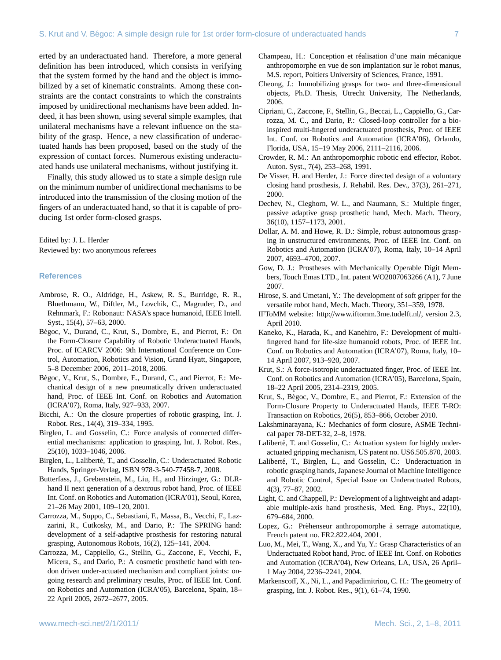erted by an underactuated hand. Therefore, a more general definition has been introduced, which consists in verifying that the system formed by the hand and the object is immobilized by a set of kinematic constraints. Among these constraints are the contact constraints to which the constraints imposed by unidirectional mechanisms have been added. Indeed, it has been shown, using several simple examples, that unilateral mechanisms have a relevant influence on the stability of the grasp. Hence, a new classification of underactuated hands has been proposed, based on the study of the expression of contact forces. Numerous existing underactuated hands use unilateral mechanisms, without justifying it.

Finally, this study allowed us to state a simple design rule on the minimum number of unidirectional mechanisms to be introduced into the transmission of the closing motion of the fingers of an underactuated hand, so that it is capable of producing 1st order form-closed grasps.

Edited by: J. L. Herder Reviewed by: two anonymous referees

#### **References**

- Ambrose, R. O., Aldridge, H., Askew, R. S., Burridge, R. R., Bluethmann, W., Diftler, M., Lovchik, C., Magruder, D., and Rehnmark, F.: Robonaut: NASA's space humanoid, IEEE Intell. Syst., 15(4), 57–63, 2000.
- Bégoc, V., Durand, C., Krut, S., Dombre, E., and Pierrot, F.: On the Form-Closure Capability of Robotic Underactuated Hands, Proc. of ICARCV 2006: 9th International Conference on Control, Automation, Robotics and Vision, Grand Hyatt, Singapore, 5–8 December 2006, 2011–2018, 2006.
- Bégoc, V., Krut, S., Dombre, E., Durand, C., and Pierrot, F.: Mechanical design of a new pneumatically driven underactuated hand, Proc. of IEEE Int. Conf. on Robotics and Automation (ICRA'07), Roma, Italy, 927–933, 2007.
- Bicchi, A.: On the closure properties of robotic grasping, Int. J. Robot. Res., 14(4), 319–334, 1995.
- Birglen, L. and Gosselin, C.: Force analysis of connected differential mechanisms: application to grasping, Int. J. Robot. Res., 25(10), 1033–1046, 2006.
- Birglen, L., Laliberté, T., and Gosselin, C.: Underactuated Robotic Hands, Springer-Verlag, ISBN 978-3-540-77458-7, 2008.
- Butterfass, J., Grebenstein, M., Liu, H., and Hirzinger, G.: DLRhand II next generation of a dextrous robot hand, Proc. of IEEE Int. Conf. on Robotics and Automation (ICRA'01), Seoul, Korea, 21–26 May 2001, 109–120, 2001.
- Carrozza, M., Suppo, C., Sebastiani, F., Massa, B., Vecchi, F., Lazzarini, R., Cutkosky, M., and Dario, P.: The SPRING hand: development of a self-adaptive prosthesis for restoring natural grasping, Autonomous Robots, 16(2), 125–141, 2004.
- Carrozza, M., Cappiello, G., Stellin, G., Zaccone, F., Vecchi, F., Micera, S., and Dario, P.: A cosmetic prosthetic hand with tendon driven under-actuated mechanism and compliant joints: ongoing research and preliminary results, Proc. of IEEE Int. Conf. on Robotics and Automation (ICRA'05), Barcelona, Spain, 18– 22 April 2005, 2672–2677, 2005.
- Champeau, H.: Conception et réalisation d'une main mécanique anthropomorphe en vue de son implantation sur le robot manus, M.S. report, Poitiers University of Sciences, France, 1991.
- Cheong, J.: Immobilizing grasps for two- and three-dimensional objects, Ph.D. Thesis, Utrecht University, The Netherlands, 2006.
- Cipriani, C., Zaccone, F., Stellin, G., Beccai, L., Cappiello, G., Carrozza, M. C., and Dario, P.: Closed-loop controller for a bioinspired multi-fingered underactuated prosthesis, Proc. of IEEE Int. Conf. on Robotics and Automation (ICRA'06), Orlando, Florida, USA, 15–19 May 2006, 2111–2116, 2006.
- Crowder, R. M.: An anthropomorphic robotic end effector, Robot. Auton. Syst., 7(4), 253–268, 1991.
- De Visser, H. and Herder, J.: Force directed design of a voluntary closing hand prosthesis, J. Rehabil. Res. Dev., 37(3), 261–271, 2000.
- Dechev, N., Cleghorn, W. L., and Naumann, S.: Multiple finger, passive adaptive grasp prosthetic hand, Mech. Mach. Theory, 36(10), 1157–1173, 2001.
- Dollar, A. M. and Howe, R. D.: Simple, robust autonomous grasping in unstructured environments, Proc. of IEEE Int. Conf. on Robotics and Automation (ICRA'07), Roma, Italy, 10–14 April 2007, 4693–4700, 2007.
- Gow, D. J.: Prostheses with Mechanically Operable Digit Members, Touch Emas LTD., Int. patent WO2007063266 (A1), 7 June 2007.
- Hirose, S. and Umetani, Y.: The development of soft gripper for the versatile robot hand, Mech. Mach. Theory, 351–359, 1978.
- IFToMM website: http://[www.iftomm.3me.tudelft.nl](http://www.iftomm.3me.tudelft.nl/)/, version 2.3, April 2010.
- Kaneko, K., Harada, K., and Kanehiro, F.: Development of multifingered hand for life-size humanoid robots, Proc. of IEEE Int. Conf. on Robotics and Automation (ICRA'07), Roma, Italy, 10– 14 April 2007, 913–920, 2007.
- Krut, S.: A force-isotropic underactuated finger, Proc. of IEEE Int. Conf. on Robotics and Automation (ICRA'05), Barcelona, Spain, 18–22 April 2005, 2314–2319, 2005.
- Krut, S., Bégoc, V., Dombre, E., and Pierrot, F.: Extension of the Form-Closure Property to Underactuated Hands, IEEE T-RO: Transaction on Robotics, 26(5), 853–866, October 2010.
- Lakshminarayana, K.: Mechanics of form closure, ASME Technical paper 78-DET-32, 2–8, 1978.
- Laliberté, T. and Gosselin, C.: Actuation system for highly underactuated gripping mechanism, US patent no. US6.505.870, 2003.
- Laliberté, T., Birglen, L., and Gosselin, C.: Underactuation in robotic grasping hands, Japanese Journal of Machine Intelligence and Robotic Control, Special Issue on Underactuated Robots, 4(3), 77–87, 2002.
- Light, C. and Chappell, P.: Development of a lightweight and adaptable multiple-axis hand prosthesis, Med. Eng. Phys., 22(10), 679–684, 2000.
- Lopez, G.: Préhenseur anthropomorphe à serrage automatique, French patent no. FR2.822.404, 2001.
- Luo, M., Mei, T., Wang, X., and Yu, Y.: Grasp Characteristics of an Underactuated Robot hand, Proc. of IEEE Int. Conf. on Robotics and Automation (ICRA'04), New Orleans, LA, USA, 26 April– 1 May 2004, 2236–2241, 2004.
- Markenscoff, X., Ni, L., and Papadimitriou, C. H.: The geometry of grasping, Int. J. Robot. Res., 9(1), 61–74, 1990.